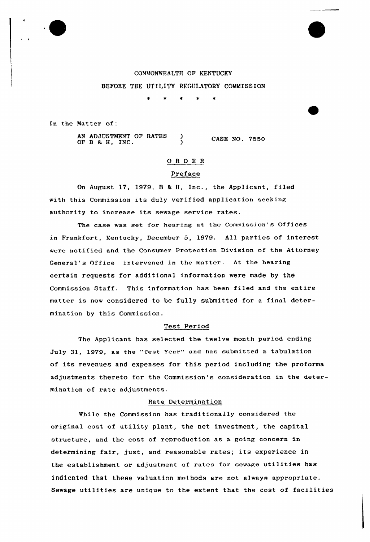COMMONWEALTH OF KENTUCKY BEFORE THE UTILITY REGULATORY COMMISSION

 $\star$ 

In the Natter of:

AN ADJUSTMENT OF RATES ) OF B & H, INC. CASE NO. 7550

# 0 <sup>R</sup> <sup>D</sup> E <sup>R</sup>

## Preface

On August 17, 1979, <sup>B</sup> & H, Inc., the Applicant, filed with this Commission its duly verified application seeking authority to increase its sewage service rates.

The case was set for hearing at the Commission's Offices in Frankfort, Kentucky, December 5, 1979. All parties of interest were notified and the Consumex Protection Division of the Attorney General's Office intervened in the matter. At the hearing certain requests for additional information were made by the Commission Staff. This 'nformation has been filed and the entire matter is now considered to be fully submitted for a final determination by this Commission.

## Test Period

The Applicant has selected the twelve month period ending July 31, 1979, as the "Test Year" and has submitted a tabulation of its revenues and expenses for this period including the proforma adjustments thereto for the Commission's consideration in the determination of rate adjustments.

## Rate Determination

While the Commission has traditionally considered the original cost of utility plant, the net investment, the capital structure, and the cost of reproduction as a going concern in determining fair, just, and reasonable rates; its experience in the establishment or adjustment of rates for sewage utilities has indicated that these va1uation methods are not always appropriate. Sewage utilities are unique to the extent that the cost of facilities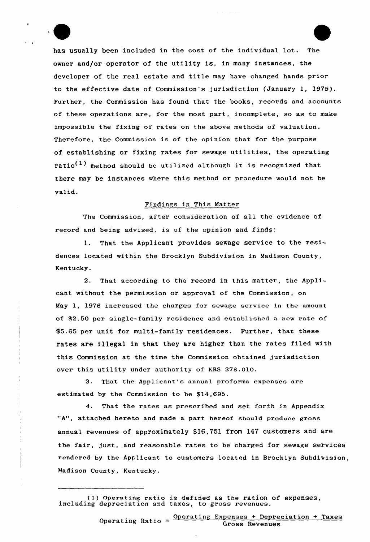has usually been included in the cost of the individual lot. The owner and/or operator of the utility is, in many instances, the developer of the real estate and title may have changed hands prior to the effective date of Commission's jurisdiction (January 1, 1975). Further, the Commission has found that the books, records and accounts of these operations are, for the most part, incomplete, so as to make impossible the fixing of rates on the above methods of valuation. Therefore, the Commission is of the opinion that for the purpose of establishing or fixing rates for sewage utilities, the operating  $ratio<sup>(1)</sup>$  method should be utilized although it is recognized that there may be instances where this method or procedure would not be valid.

#### Findings in This Matter

The Commission, after consideration of all the evidence of record and being advised, is of the opinion and finds:

l. That the Applicant provides sewage service to the residences located within the Brocklyn Subdivision in Madison County, Kentucky.

2. That according to the record in this matter, the Applicant without the permission or approval of the Commission, on May 1, 1976 increased the charges for sewage service in the amount of 42.50 per single-family residence and established a new rate of \$5.65 per unit for multi-family residences. Further, that these rates are illegal in that they are higher than the rates filed with this Commission at the time the Commission obtained jurisdiction over this utility under authority of KRS 278.010.

3. That the Applicant's annual proforma expenses are estimated by the Commission to be \$14,695.

4. That the rates as prescribed and set forth in Appendix "A", attached hereto and made a part hereof should produce gross annual revenues of approximately \$16,751 from 147 customers and are the fair, just, and reasonable rates to be charged for sewage services rendered by the Applicant to customers located in Brocklyn Subdivision, Madison County, Kentucky.

<sup>(</sup>I) Operating ratio is defined as the ration of expenses, including depreciation and taxes, to gross revenues.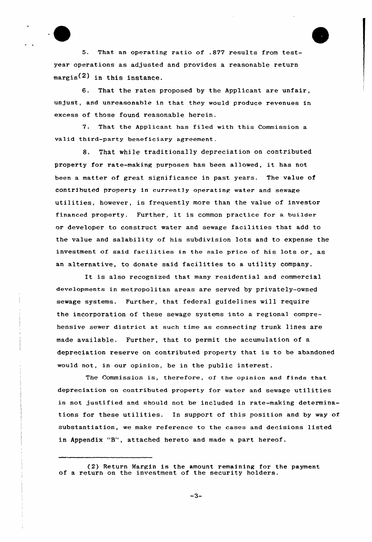5. That an operating ratio of .877 results from testyear operations as adjusted and provides a reasonable return  $margin(2)$  in this instance.

6. That the rates proposed by the Applicant are unfair, unjust, and unreasonable in that they would produce revenues in excess of those found reasonable herein.

7. That the Applicant has filed with this Commission a valid third-party beneficiary agreement

8. That while traditionally depreciation on contributed property for rate-making purposes has been allowed, it has not been a matter of great significance in past years. The value of contrihuted property in currently operating water and sewage utilities, however, is frequently more than the value of investor financed property. Further, it is common practice for <sup>a</sup> builder or developer to construct water and sewage facilities that add to the value and salability of his subdivision lots and to expense the investment of said facilities in the sale price of his lots or, as an alternative, to donate said facilities to <sup>a</sup> utility company.

It is also recognized that many residential and commercial deve1opments in metropolitan areas are served by privately-owned sewage systems. Further, that federal guidelines will require the incorporation of these sewage systems into a regional comprehensive sewer district at such time as connecting trunk lines are made available. Further., that to permit the accumulation of a depreciation reserve on contributed property that is to be abandoned would not, in our opinion, be in the public interest.

The Commission is, therefore, of the opinion and finds that depreciation on contributed property for water and sewage utilities is not justified and should not be included in rate-making determinations for these utilities. In support of this position and by way of substantiation, we make reference to the cases and decisions listed in Appendix "8", attached hereto and made <sup>a</sup> part hereof.

 $-3-$ 

<sup>(2)</sup> Return Margin is the amount remaining for the payment of <sup>a</sup> return on the investment of the security holders.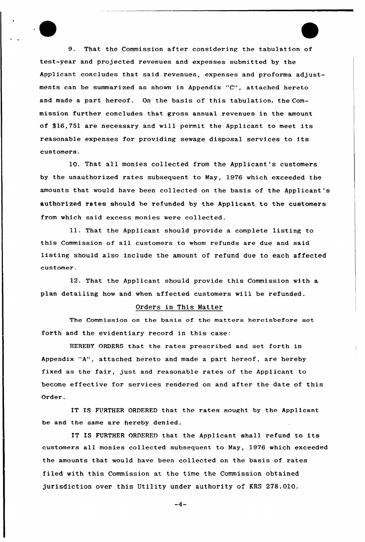9. That the Commission after considering the tabulation of test-year and projected revenues and expenses submitted by the Applicant concludes that said revenues, expenses and proforma adjustments can be summarized as shown in Appendix "C", attached hereto and made a part hereof. On the basis of this tabulation, the Commission further concludes that gross annual revenues in the amount of \$16,751 are necessary and will permit the Applicant to meet its reasonable expenses for providing sewage disposal services to its customers.

10. That all monies collected from the Applicant's customers by the unauthorized rates subsequent to May, 1976 which exceeded the amounts that would have been collected on the basis of the Applicant's authorized rates should be refunded by the Applicant to the customers from which said excess monies were collected.

11. That the Applicant should provide a complete listing to this Commission of all customers to whom refunds are due and said listing should also include the amount of refund due to each affected customer.

12. That the Applicant should provide this Commission with a plan detailing how and when affected customers will be refunded.

## Orders in This Matter

The Commission on the basis of the matters hereinbefore set forth and the evidentiary record in this case:

HEREBY ORDERS that the rates prescribed and set forth in Appendix "A", attached hereto and made a part hereof, are hereby fixed as the fair, just and reasonable rates of the Applicant to become effective for services rendered on and after the date of this Order.

IT IS FURTHER ORDFRFD that the rates sought by the Applicant be and the same are hereby denied.

IT IS FURTHER ORDERED that the Applicant shall refund to its customers all monies collected subsequent to May, 1976 which exceeded the amounts that would have been collected on the basis of rates filed with this Commission at the time the Commission obtained jurisdiction over this Utility under authority of KRS 278.010.

 $-4-$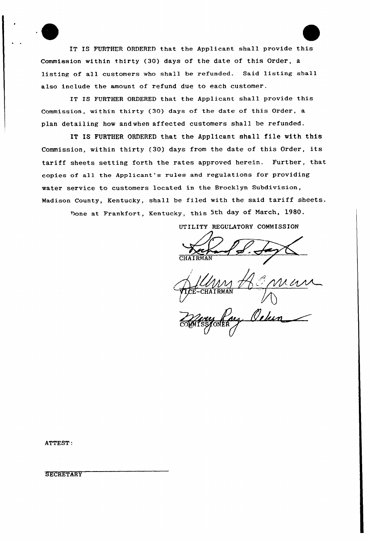IT IS FURTHER ORDERED that the Applicant shall provide this Commission within thirty (30) days of the date of this Order, a listing of all customers who shall be refunded. Said listing shall also include the amount of refund due to each customer.

IT IS FURTHER ORDERED that the Applicant shall provide this Commission, within thirty (30) days of the date of this Order, a plan detailing how andwhen affected customers shall be refunded.

IT IS FURTHER ORDERED that the Applicant shall file with this Commission, within thirty (30) days from the date of this Order, its tariff sheets setting forth the rates approved herein. Further, that copies of all the Applicant's rules and regulations for providing water service to customers located in the Brocklyn Subdivision, Madison County, Kentucky, shall he filed with the said tariff sheets. Done at Frankfort, Kentucky, this 5th day of March, 1980.

UTILITY REGULATORY COMMISSION

CHAIRMA

ma COMMISS/ONER

ATTEST:

**SECRETARY**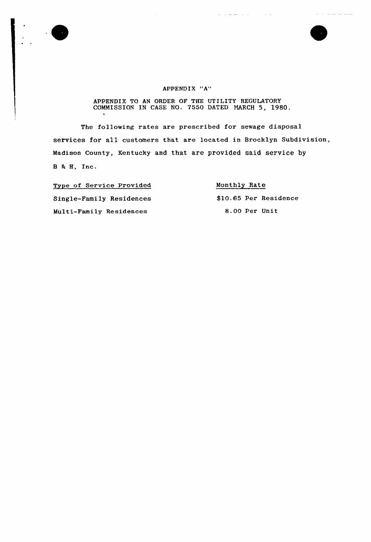



## APPENDIX "A"

## APPENDIX TO AN ORDER OF THE UTILITY REGULATORY COMMISSION IN CASE NO. 7550 DATED MARCH 5, 1980.

The following rates are prescribed for sewage disposal services for all customers that are located in Brocklyn Subdivision, Madison County, Kentucky and that are provided said service by  $B$  & H, Inc.

Type of Service Provided Single-Family Residences Multi-Family Residences

# Monthly Rate

المالدان المالد ساسداند

\$10.65 Per Residence 8.00 Per Unit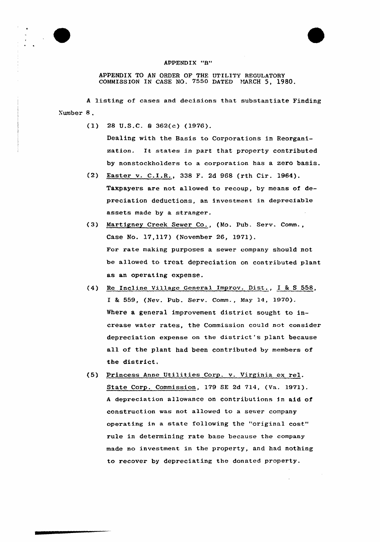



APPENDIX TO AN ORDER OF THE UTILITY REGULATORY COMMISSION IN CASE NO. 7550 DATED MARCH 5, 1980.

<sup>A</sup> listing of cases and decisions that substantiate Finding Yumber 8.

(1) 28 U.S.C. 5 362(c) (1976).

Dealing with the Basis to Corporations in Reorganization. It states in part that property contributed by nonstockholders to a corporation has a zero basis.

- (2) Easter v. C.I.R., 338 F. 2d 968 (rth Cir. 1964). Taxpayers are not allowed to recoup, by means of depreciation deductions, an investment in depreciable assets made by a stranger.
- (3) Martigney Creek Sewer Co., {Mo. Pub. Serv. Comm., Case No. 17,117) (November 26, 1971). For rate making purposes a sewer company should not be allowed to treat depreciation on contributed plant as an operating expense.
- (4) Re Incline Village General Improv. Dist., I % <sup>S</sup> 558, I & 559, (Nev. Pub. Serv. Comm., May 14, 1970). Where a general improvement district sought to increase water rates, the Commission could not consider depreciation expense on the district's plant because all of the plant had been contributed by members of the district,
- (5) Princess Anne Utilities Corp. v. Virginia ex rel. State Corp. Commission, 179 SE 2d 714, (Va. 1971). A depreciation allowance on contributions in aid of construction was not a11owed to a sewer company operating in a state following the "original cost" rule in determining rate base because the company made no investment in the property, and had nothing to recover by depreciating the donated property.